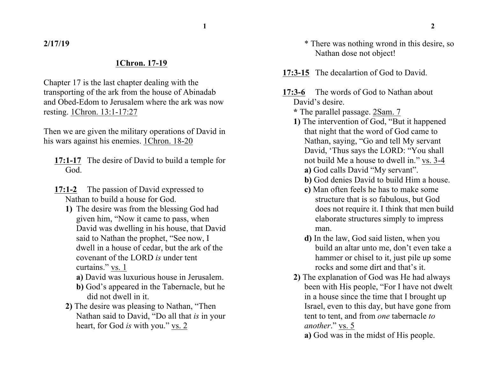**1 2**

**2/17/19**

## **1Chron. 17-19**

Chapter 17 is the last chapter dealing with the transporting of the ark from the house of Abinadab and Obed-Edom to Jerusalem where the ark was now resting. 1Chron. 13:1-17:27

Then we are given the military operations of David in his wars against his enemies. 1Chron. 18-20

- **17:1-17** The desire of David to build a temple for God.
- **17:1-2** The passion of David expressed to Nathan to build a house for God.
	- **1)** The desire was from the blessing God had given him, "Now it came to pass, when David was dwelling in his house, that David said to Nathan the prophet, "See now, I dwell in a house of cedar, but the ark of the covenant of the LORD *is* under tent curtains." vs. 1
		- **a)** David was luxurious house in Jerusalem.
		- **b)** God's appeared in the Tabernacle, but he did not dwell in it.
	- **2)** The desire was pleasing to Nathan, "Then Nathan said to David, "Do all that *is* in your heart, for God *is* with you." vs. 2
- \* There was nothing wrond in this desire, so Nathan dose not object!
- **17:3-15** The decalartion of God to David.
- **17:3-6** The words of God to Nathan about David's desire.
	- **\*** The parallel passage. 2Sam. 7
	- **1)** The intervention of God, "But it happened that night that the word of God came to Nathan, saying, "Go and tell My servant David, 'Thus says the LORD: "You shall not build Me a house to dwell in." vs. 3-4 **a)** God calls David "My servant".
		- **b)** God denies David to build Him a house.
		- **c)** Man often feels he has to make some structure that is so fabulous, but God does not require it. I think that men build elaborate structures simply to impress man.
		- **d)** In the law, God said listen, when you build an altar unto me, don't even take a hammer or chisel to it, just pile up some rocks and some dirt and that's it.
	- **2)** The explanation of God was He had always been with His people, "For I have not dwelt in a house since the time that I brought up Israel, even to this day, but have gone from tent to tent, and from *one* tabernacle *to another*." vs. 5
		- **a)** God was in the midst of His people.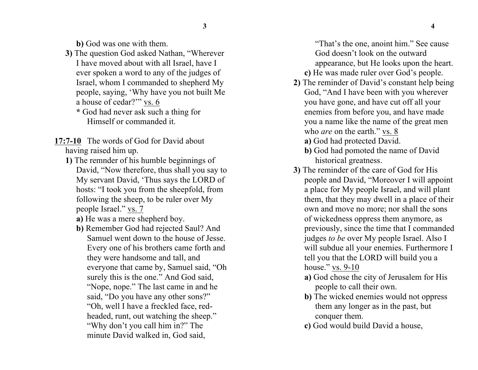**b)** God was one with them.

- **3)** The question God asked Nathan, "Wherever I have moved about with all Israel, have I ever spoken a word to any of the judges of Israel, whom I commanded to shepherd My people, saying, 'Why have you not built Me a house of cedar?'" vs. 6
	- **\*** God had never ask such a thing for Himself or commanded it.
- **17:7-10** The words of God for David about having raised him up.
	- **1)** The remnder of his humble beginnings of David, "Now therefore, thus shall you say to My servant David, 'Thus says the LORD of hosts: "I took you from the sheepfold, from following the sheep, to be ruler over My people Israel." vs. 7
		- **a)** He was a mere shepherd boy.
		- **b)** Remember God had rejected Saul? And Samuel went down to the house of Jesse. Every one of his brothers came forth and they were handsome and tall, and everyone that came by, Samuel said, "Oh surely this is the one." And God said, "Nope, nope." The last came in and he said, "Do you have any other sons?" "Oh, well I have a freckled face, redheaded, runt, out watching the sheep." "Why don't you call him in?" The minute David walked in, God said,

"That's the one, anoint him." See cause God doesn't look on the outward appearance, but He looks upon the heart.

- **c)** He was made ruler over God's people.
- **2)** The reminder of David's constant help being God, "And I have been with you wherever you have gone, and have cut off all your enemies from before you, and have made you a name like the name of the great men who *are* on the earth." vs. 8
	- **a)** God had protected David.
	- **b)** God had pomoted the name of David historical greatness.
- **3)** The reminder of the care of God for His people and David, "Moreover I will appoint a place for My people Israel, and will plant them, that they may dwell in a place of their own and move no more; nor shall the sons of wickedness oppress them anymore, as previously, since the time that I commanded judges *to be* over My people Israel. Also I will subdue all your enemies. Furthermore I tell you that the LORD will build you a house." vs. 9-10
	- **a)** God chose the city of Jerusalem for His people to call their own.
	- **b)** The wicked enemies would not oppress them any longer as in the past, but conquer them.
	- **c)** God would build David a house,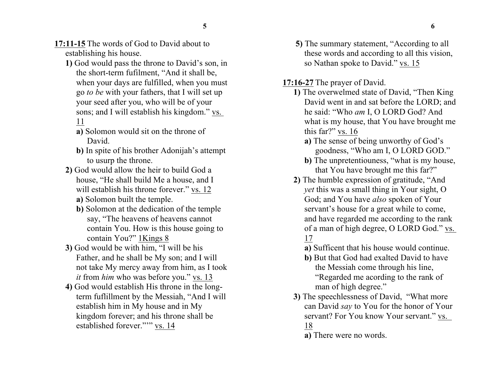- **17:11-15** The words of God to David about to establishing his house.
	- **1)** God would pass the throne to David's son, in the short-term fufilment, "And it shall be, when your days are fulfilled, when you must go *to be* with your fathers, that I will set up your seed after you, who will be of your sons; and I will establish his kingdom." vs. 11
		- **a)** Solomon would sit on the throne of David.
		- **b)** In spite of his brother Adonijah's attempt to usurp the throne.
	- **2)** God would allow the heir to build God a house, "He shall build Me a house, and I will establish his throne forever." vs. 12
		- **a)** Solomon built the temple.
		- **b)** Solomon at the dedication of the temple say, "The heavens of heavens cannot contain You. How is this house going to contain You?" 1Kings 8
	- **3)** God would be with him, "I will be his Father, and he shall be My son; and I will not take My mercy away from him, as I took *it* from *him* who was before you." vs. 13
	- **4)** God would establish His throne in the longterm fuflillment by the Messiah, "And I will establish him in My house and in My kingdom forever; and his throne shall be established forever.""" vs. 14
- **5)** The summary statement, "According to all these words and according to all this vision, so Nathan spoke to David." vs. 15
- **17:16-27** The prayer of David.
	- **1)** The overwelmed state of David, "Then King David went in and sat before the LORD; and he said: "Who *am* I, O LORD God? And what is my house, that You have brought me this far?" vs. 16
		- **a)** The sense of being unworthy of God's goodness, "Who am I, O LORD GOD."
		- **b)** The unpretentiouness, "what is my house, that You have brought me this far?"
	- **2)** The humble expression of gratitude, "And *yet* this was a small thing in Your sight, O God; and You have *also* spoken of Your servant's house for a great while to come, and have regarded me according to the rank of a man of high degree, O LORD God." vs. 17
		- **a)** Sufficent that his house would continue.
		- **b)** But that God had exalted David to have the Messiah come through his line, "Regarded me acording to the rank of man of high degree."
	- **3)** The speechlessness of David, "What more can David *say* to You for the honor of Your servant? For You know Your servant." vs. 18
		- **a)** There were no words.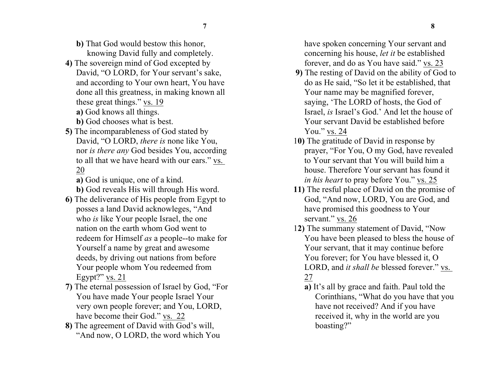**7 8**

- **b)** That God would bestow this honor, knowing David fully and completely.
- **4)** The sovereign mind of God excepted by David, "O LORD, for Your servant's sake, and according to Your own heart, You have done all this greatness, in making known all these great things." vs. 19 **a)** God knows all things.
	- **b)** God chooses what is best.
- **5)** The incomparableness of God stated by David, "O LORD, *there is* none like You, nor *is there any* God besides You, according to all that we have heard with our ears." vs. 20
	- **a)** God is unique, one of a kind.
	- **b)** God reveals His will through His word.
- **6)** The deliverance of His people from Egypt to posses a land David acknowleges, "And who *is* like Your people Israel, the one nation on the earth whom God went to redeem for Himself *as* a people--to make for Yourself a name by great and awesome deeds, by driving out nations from before Your people whom You redeemed from Egypt?" vs. 21
- **7)** The eternal possession of Israel by God, "For You have made Your people Israel Your very own people forever; and You, LORD, have become their God." vs. 22
- **8)** The agreement of David with God's will, "And now, O LORD, the word which You

have spoken concerning Your servant and concerning his house, *let it* be established forever, and do as You have said." vs. 23

- **9)** The resting of David on the ability of God to do as He said, "So let it be established, that Your name may be magnified forever, saying, 'The LORD of hosts, the God of Israel, *is* Israel's God.' And let the house of Your servant David be established before You." vs. 24
- 1**0)** The gratitude of David in response by prayer, "For You, O my God, have revealed to Your servant that You will build him a house. Therefore Your servant has found it *in his heart* to pray before You." vs. 25
- **11)** The resful place of David on the promise of God, "And now, LORD, You are God, and have promised this goodness to Your servant." vs. 26
- 1**2)** The summany statement of David, "Now You have been pleased to bless the house of Your servant, that it may continue before You forever; for You have blessed it, O LORD, and *it shall be* blessed forever." vs. 27
	- **a)** It's all by grace and faith. Paul told the Corinthians, "What do you have that you have not received? And if you have received it, why in the world are you boasting?"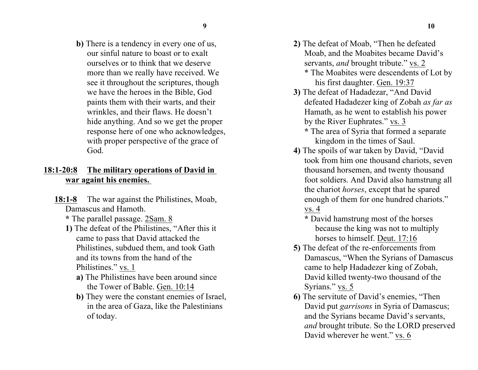**b)** There is a tendency in every one of us, our sinful nature to boast or to exalt ourselves or to think that we deserve more than we really have received. We see it throughout the scriptures, though we have the heroes in the Bible, God paints them with their warts, and their wrinkles, and their flaws. He doesn't hide anything. And so we get the proper response here of one who acknowledges, with proper perspective of the grace of God.

## **18:1-20:8 The military operations of David in war againt his enemies.**

- **18:1-8** The war against the Philistines, Moab, Damascus and Hamoth.
	- **\*** The parallel passage. 2Sam. 8
	- **1)** The defeat of the Philistines, "After this it came to pass that David attacked the Philistines, subdued them, and took Gath and its towns from the hand of the Philistines." vs. 1
		- **a)** The Philistines have been around since the Tower of Bable. Gen. 10:14
		- **b)** They were the constant enemies of Israel, in the area of Gaza, like the Palestinians of today.
- **2)** The defeat of Moab, "Then he defeated Moab, and the Moabites became David's servants, *and* brought tribute." vs. 2
	- \* The Moabites were descendents of Lot by his first daughter. Gen. 19:37
- **3)** The defeat of Hadadezar, "And David defeated Hadadezer king of Zobah *as far as* Hamath, as he went to establish his power by the River Euphrates." vs. 3
	- **\*** The area of Syria that formed a separate kingdom in the times of Saul.
- **4)** The spoils of war taken by David, "David took from him one thousand chariots, seven thousand horsemen, and twenty thousand foot soldiers. And David also hamstrung all the chariot *horses*, except that he spared enough of them for one hundred chariots." vs. 4
	- **\*** David hamstrung most of the horses because the king was not to multiply horses to himself. Deut. 17:16
- **5)** The defeat of the re-enforcements from Damascus, "When the Syrians of Damascus came to help Hadadezer king of Zobah, David killed twenty-two thousand of the Syrians." vs. 5
- **6)** The servitute of David's enemies, "Then David put *garrisons* in Syria of Damascus; and the Syrians became David's servants, *and* brought tribute. So the LORD preserved David wherever he went." vs. 6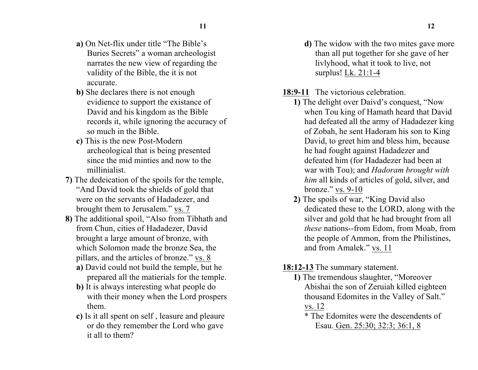- **a)** On Net-flix under title "The Bible's Buries Secrets" a woman archeologist narrates the new view of regarding the validity of the Bible, the it is not accurate.
- **b)** She declares there is not enough evidience to support the existance of David and his kingdom as the Bible records it, while ignoring the accuracy of so much in the Bible.
- **c)** This is the new Post-Modern archeological that is being presented since the mid minties and now to the millinialist.
- **7)** The dedeication of the spoils for the temple, "And David took the shields of gold that were on the servants of Hadadezer, and brought them to Jerusalem." vs. 7
- **8)** The additional spoil, "Also from Tibhath and from Chun, cities of Hadadezer, David brought a large amount of bronze, with which Solomon made the bronze Sea, the pillars, and the articles of bronze." vs. 8
	- **a)** David could not build the temple, but he prepared all the matierials for the temple.
	- **b)** It is always interesting what people do with their money when the Lord prospers them.
	- **c)** Is it all spent on self , leasure and pleaure or do they remember the Lord who gave it all to them?
- **d)** The widow with the two mites gave more than all put together for she gave of her livlyhood, what it took to live, not surplus! Lk. 21:1-4
- **18:9-11** The victorious celebration.
	- **1)** The delight over Daivd's conquest, "Now when Tou king of Hamath heard that David had defeated all the army of Hadadezer king of Zobah, he sent Hadoram his son to King David, to greet him and bless him, because he had fought against Hadadezer and defeated him (for Hadadezer had been at war with Tou); and *Hadoram brought with him* all kinds of articles of gold, silver, and bronze." vs. 9-10
	- **2)** The spoils of war, "King David also dedicated these to the LORD, along with the silver and gold that he had brought from all *these* nations--from Edom, from Moab, from the people of Ammon, from the Philistines, and from Amalek." vs. 11

## **18:12-13** The summary statement.

- **1)** The tremendous slaughter, "Moreover Abishai the son of Zeruiah killed eighteen thousand Edomites in the Valley of Salt." vs. 12
	- \* The Edomites were the descendents of Esau. Gen. 25:30; 32:3; 36:1, 8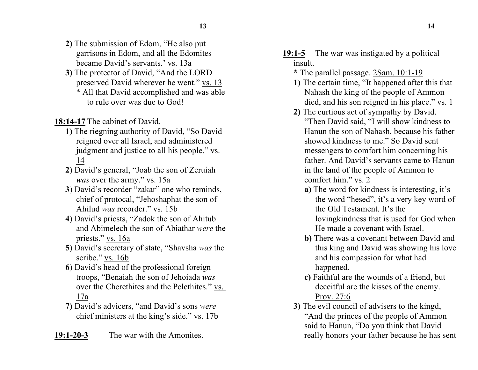- **2)** The submission of Edom, "He also put garrisons in Edom, and all the Edomites became David's servants.' vs. 13a
- **3)** The protector of David, "And the LORD preserved David wherever he went." vs. 13 \* All that David accomplished and was able to rule over was due to God!

**18:14-17** The cabinet of David.

- **1)** The riegning authority of David, "So David reigned over all Israel, and administered judgment and justice to all his people." vs. 14
- **2**) David's general, "Joab the son of Zeruiah *was* over the army." vs. 15a
- **3**) David's recorder "zakar" one who reminds, chief of protocal, "Jehoshaphat the son of Ahilud *was* recorder." vs. 15b
- **4**) David's priests, "Zadok the son of Ahitub and Abimelech the son of Abiathar *were* the priests." vs. 16a
- **5**) David's secretary of state, "Shavsha *was* the scribe." vs. 16b
- **6**) David's head of the professional foreign troops, "Benaiah the son of Jehoiada *was*  over the Cherethites and the Pelethites." vs. 17a
- **7)** David's advicers, "and David's sons *were* chief ministers at the king's side." vs. 17b
- **19:1-20-3** The war with the Amonites.
- **19:1-5** The war was instigated by a political insult.
	- **\*** The parallel passage. 2Sam. 10:1-19
	- **1)** The certain time, "It happened after this that Nahash the king of the people of Ammon died, and his son reigned in his place." vs. 1
	- **2)** The curtious act of sympathy by David. "Then David said, "I will show kindness to Hanun the son of Nahash, because his father showed kindness to me." So David sent messengers to comfort him concerning his father. And David's servants came to Hanun in the land of the people of Ammon to comfort him." vs. 2
		- **a)** The word for kindness is interesting, it's the word "hesed", it's a very key word of the Old Testament. It's the lovingkindness that is used for God when He made a covenant with Israel.
		- **b)** There was a covenant between David and this king and David was showing his love and his compassion for what had happened.
		- **c)** Faithful are the wounds of a friend, but deceitful are the kisses of the enemy. Prov. 27:6
	- **3)** The evil council of advisers to the kingd, "And the princes of the people of Ammon said to Hanun, "Do you think that David really honors your father because he has sent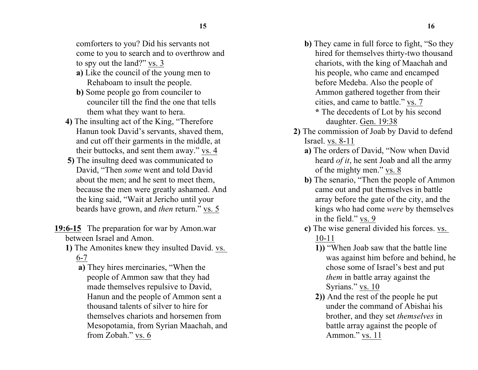comforters to you? Did his servants not come to you to search and to overthrow and to spy out the land?" vs. 3

- **a)** Like the council of the young men to Rehaboam to insult the people.
- **b)** Some people go from counciler to counciler till the find the one that tells them what they want to hera.
- **4)** The insulting act of the King, "Therefore Hanun took David's servants, shaved them, and cut off their garments in the middle, at their buttocks, and sent them away." vs. 4
- **5)** The insultng deed was communicated to David, "Then *some* went and told David about the men; and he sent to meet them, because the men were greatly ashamed. And the king said, "Wait at Jericho until your beards have grown, and *then* return." vs. 5
- **19:6-15** The preparation for war by Amon.war between Israel and Amon.
	- **1)** The Amonites knew they insulted David. vs. 6-7
		- **a)** They hires mercinaries, "When the people of Ammon saw that they had made themselves repulsive to David, Hanun and the people of Ammon sent a thousand talents of silver to hire for themselves chariots and horsemen from Mesopotamia, from Syrian Maachah, and from Zobah." vs. 6
- **b)** They came in full force to fight, "So they hired for themselves thirty-two thousand chariots, with the king of Maachah and his people, who came and encamped before Medeba. Also the people of Ammon gathered together from their cities, and came to battle." vs. 7
	- **\*** The decedents of Lot by his second daughter. Gen. 19:38
- **2)** The commission of Joab by David to defend Israel. vs. 8-11
	- **a)** The orders of David, "Now when David heard *of it*, he sent Joab and all the army of the mighty men." vs. 8
	- **b)** The senario, "Then the people of Ammon came out and put themselves in battle array before the gate of the city, and the kings who had come *were* by themselves in the field." vs. 9
	- **c)** The wise general divided his forces. vs. 10-11
		- **1))** "When Joab saw that the battle line was against him before and behind, he chose some of Israel's best and put *them* in battle array against the Syrians." vs. 10
		- **2))** And the rest of the people he put under the command of Abishai his brother, and they set *themselves* in battle array against the people of Ammon." vs. 11